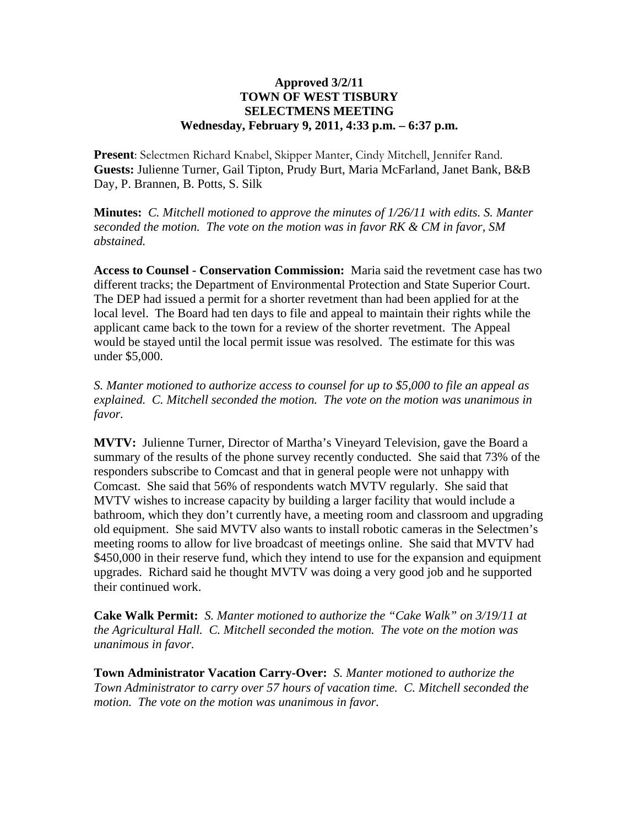## **Approved 3/2/11 TOWN OF WEST TISBURY SELECTMENS MEETING Wednesday, February 9, 2011, 4:33 p.m. – 6:37 p.m.**

**Present**: Selectmen Richard Knabel, Skipper Manter, Cindy Mitchell, Jennifer Rand. **Guests:** Julienne Turner, Gail Tipton, Prudy Burt, Maria McFarland, Janet Bank, B&B Day, P. Brannen, B. Potts, S. Silk

**Minutes:** *C. Mitchell motioned to approve the minutes of 1/26/11 with edits. S. Manter seconded the motion. The vote on the motion was in favor RK & CM in favor, SM abstained.*

**Access to Counsel - Conservation Commission:** Maria said the revetment case has two different tracks; the Department of Environmental Protection and State Superior Court. The DEP had issued a permit for a shorter revetment than had been applied for at the local level. The Board had ten days to file and appeal to maintain their rights while the applicant came back to the town for a review of the shorter revetment. The Appeal would be stayed until the local permit issue was resolved. The estimate for this was under \$5,000.

*S. Manter motioned to authorize access to counsel for up to \$5,000 to file an appeal as explained. C. Mitchell seconded the motion. The vote on the motion was unanimous in favor.*

**MVTV:** Julienne Turner, Director of Martha's Vineyard Television, gave the Board a summary of the results of the phone survey recently conducted. She said that 73% of the responders subscribe to Comcast and that in general people were not unhappy with Comcast. She said that 56% of respondents watch MVTV regularly. She said that MVTV wishes to increase capacity by building a larger facility that would include a bathroom, which they don't currently have, a meeting room and classroom and upgrading old equipment. She said MVTV also wants to install robotic cameras in the Selectmen's meeting rooms to allow for live broadcast of meetings online. She said that MVTV had \$450,000 in their reserve fund, which they intend to use for the expansion and equipment upgrades. Richard said he thought MVTV was doing a very good job and he supported their continued work.

**Cake Walk Permit:** *S. Manter motioned to authorize the "Cake Walk" on 3/19/11 at the Agricultural Hall. C. Mitchell seconded the motion. The vote on the motion was unanimous in favor.*

**Town Administrator Vacation Carry-Over:** *S. Manter motioned to authorize the Town Administrator to carry over 57 hours of vacation time. C. Mitchell seconded the motion. The vote on the motion was unanimous in favor.*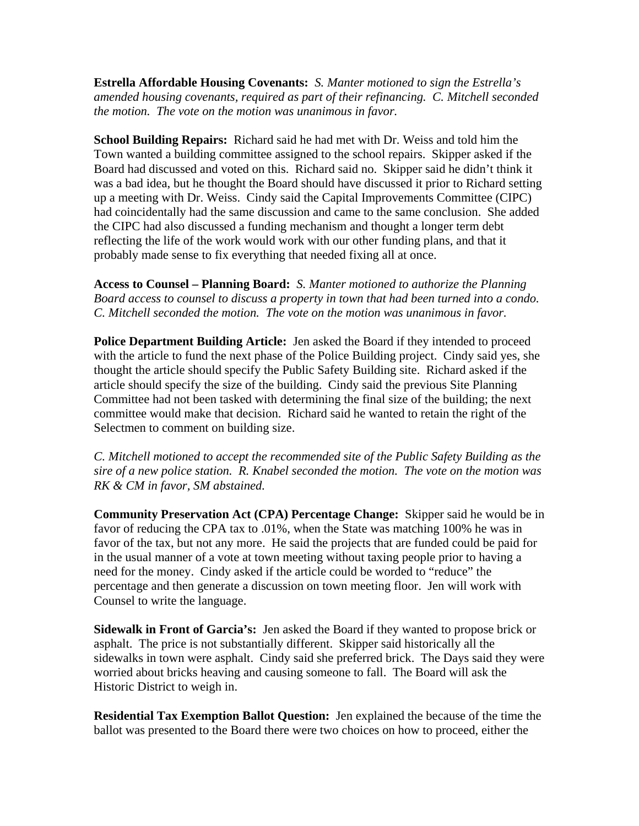**Estrella Affordable Housing Covenants:** *S. Manter motioned to sign the Estrella's amended housing covenants, required as part of their refinancing. C. Mitchell seconded the motion. The vote on the motion was unanimous in favor.*

**School Building Repairs:** Richard said he had met with Dr. Weiss and told him the Town wanted a building committee assigned to the school repairs. Skipper asked if the Board had discussed and voted on this. Richard said no. Skipper said he didn't think it was a bad idea, but he thought the Board should have discussed it prior to Richard setting up a meeting with Dr. Weiss. Cindy said the Capital Improvements Committee (CIPC) had coincidentally had the same discussion and came to the same conclusion. She added the CIPC had also discussed a funding mechanism and thought a longer term debt reflecting the life of the work would work with our other funding plans, and that it probably made sense to fix everything that needed fixing all at once.

**Access to Counsel – Planning Board:** *S. Manter motioned to authorize the Planning Board access to counsel to discuss a property in town that had been turned into a condo. C. Mitchell seconded the motion. The vote on the motion was unanimous in favor.*

**Police Department Building Article:** Jen asked the Board if they intended to proceed with the article to fund the next phase of the Police Building project. Cindy said yes, she thought the article should specify the Public Safety Building site. Richard asked if the article should specify the size of the building. Cindy said the previous Site Planning Committee had not been tasked with determining the final size of the building; the next committee would make that decision. Richard said he wanted to retain the right of the Selectmen to comment on building size.

*C. Mitchell motioned to accept the recommended site of the Public Safety Building as the sire of a new police station. R. Knabel seconded the motion. The vote on the motion was RK & CM in favor, SM abstained.*

**Community Preservation Act (CPA) Percentage Change:** Skipper said he would be in favor of reducing the CPA tax to .01%, when the State was matching 100% he was in favor of the tax, but not any more. He said the projects that are funded could be paid for in the usual manner of a vote at town meeting without taxing people prior to having a need for the money. Cindy asked if the article could be worded to "reduce" the percentage and then generate a discussion on town meeting floor. Jen will work with Counsel to write the language.

**Sidewalk in Front of Garcia's:** Jen asked the Board if they wanted to propose brick or asphalt. The price is not substantially different. Skipper said historically all the sidewalks in town were asphalt. Cindy said she preferred brick. The Days said they were worried about bricks heaving and causing someone to fall. The Board will ask the Historic District to weigh in.

**Residential Tax Exemption Ballot Question:** Jen explained the because of the time the ballot was presented to the Board there were two choices on how to proceed, either the